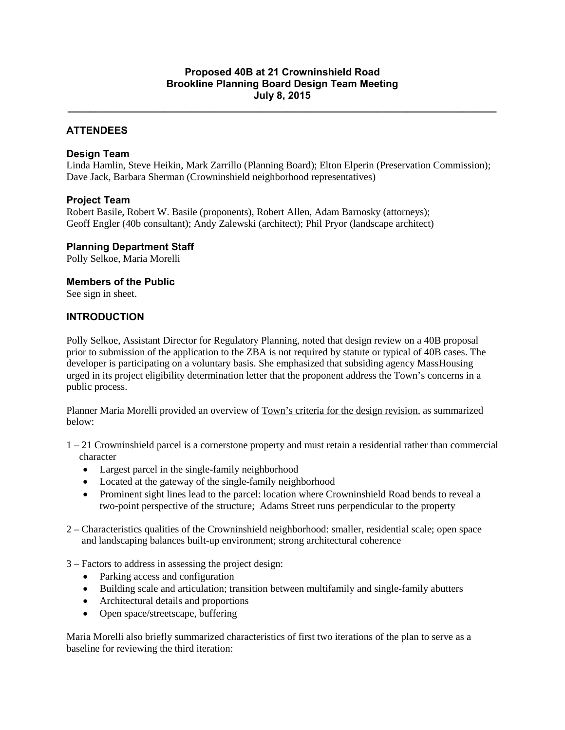**\_\_\_\_\_\_\_\_\_\_\_\_\_\_\_\_\_\_\_\_\_\_\_\_\_\_\_\_\_\_\_\_\_\_\_\_\_\_\_\_\_\_\_\_\_\_\_\_\_\_\_\_\_\_\_\_\_\_\_\_\_\_\_\_\_\_\_\_\_\_\_\_\_\_\_\_**

### **ATTENDEES**

#### **Design Team**

Linda Hamlin, Steve Heikin, Mark Zarrillo (Planning Board); Elton Elperin (Preservation Commission); Dave Jack, Barbara Sherman (Crowninshield neighborhood representatives)

#### **Project Team**

Robert Basile, Robert W. Basile (proponents), Robert Allen, Adam Barnosky (attorneys); Geoff Engler (40b consultant); Andy Zalewski (architect); Phil Pryor (landscape architect)

**Planning Department Staff**

Polly Selkoe, Maria Morelli

### **Members of the Public**

See sign in sheet.

### **INTRODUCTION**

Polly Selkoe, Assistant Director for Regulatory Planning, noted that design review on a 40B proposal prior to submission of the application to the ZBA is not required by statute or typical of 40B cases. The developer is participating on a voluntary basis. She emphasized that subsiding agency MassHousing urged in its project eligibility determination letter that the proponent address the Town's concerns in a public process.

Planner Maria Morelli provided an overview of Town's criteria for the design revision, as summarized below:

1 – 21 Crowninshield parcel is a cornerstone property and must retain a residential rather than commercial character

- Largest parcel in the single-family neighborhood
- Located at the gateway of the single-family neighborhood
- Prominent sight lines lead to the parcel: location where Crowninshield Road bends to reveal a two-point perspective of the structure; Adams Street runs perpendicular to the property
- 2 Characteristics qualities of the Crowninshield neighborhood: smaller, residential scale; open space and landscaping balances built-up environment; strong architectural coherence
- 3 Factors to address in assessing the project design:
	- Parking access and configuration
	- Building scale and articulation; transition between multifamily and single-family abutters
	- Architectural details and proportions
	- Open space/streetscape, buffering

Maria Morelli also briefly summarized characteristics of first two iterations of the plan to serve as a baseline for reviewing the third iteration: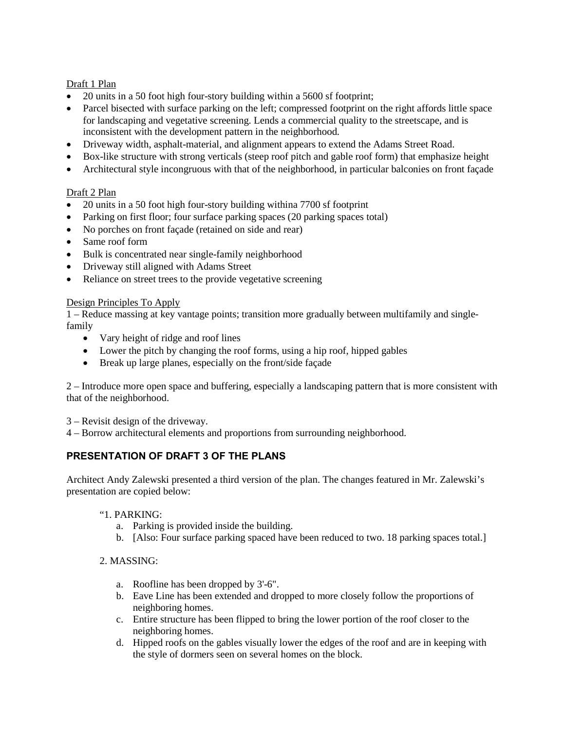Draft 1 Plan

- 20 units in a 50 foot high four-story building within a 5600 sf footprint;
- Parcel bisected with surface parking on the left; compressed footprint on the right affords little space for landscaping and vegetative screening. Lends a commercial quality to the streetscape, and is inconsistent with the development pattern in the neighborhood.
- Driveway width, asphalt-material, and alignment appears to extend the Adams Street Road.
- Box-like structure with strong verticals (steep roof pitch and gable roof form) that emphasize height
- Architectural style incongruous with that of the neighborhood, in particular balconies on front facade

### Draft 2 Plan

- 20 units in a 50 foot high four-story building withina 7700 sf footprint
- Parking on first floor; four surface parking spaces (20 parking spaces total)
- No porches on front façade (retained on side and rear)
- Same roof form
- Bulk is concentrated near single-family neighborhood
- Driveway still aligned with Adams Street
- Reliance on street trees to the provide vegetative screening

### Design Principles To Apply

1 – Reduce massing at key vantage points; transition more gradually between multifamily and singlefamily

- Vary height of ridge and roof lines
- Lower the pitch by changing the roof forms, using a hip roof, hipped gables
- Break up large planes, especially on the front/side façade

2 – Introduce more open space and buffering, especially a landscaping pattern that is more consistent with that of the neighborhood.

3 – Revisit design of the driveway.

4 – Borrow architectural elements and proportions from surrounding neighborhood.

## **PRESENTATION OF DRAFT 3 OF THE PLANS**

Architect Andy Zalewski presented a third version of the plan. The changes featured in Mr. Zalewski's presentation are copied below:

#### "1. PARKING:

- a. Parking is provided inside the building.
- b. [Also: Four surface parking spaced have been reduced to two. 18 parking spaces total.]

## 2. MASSING:

- a. Roofline has been dropped by 3'-6".
- b. Eave Line has been extended and dropped to more closely follow the proportions of neighboring homes.
- c. Entire structure has been flipped to bring the lower portion of the roof closer to the neighboring homes.
- d. Hipped roofs on the gables visually lower the edges of the roof and are in keeping with the style of dormers seen on several homes on the block.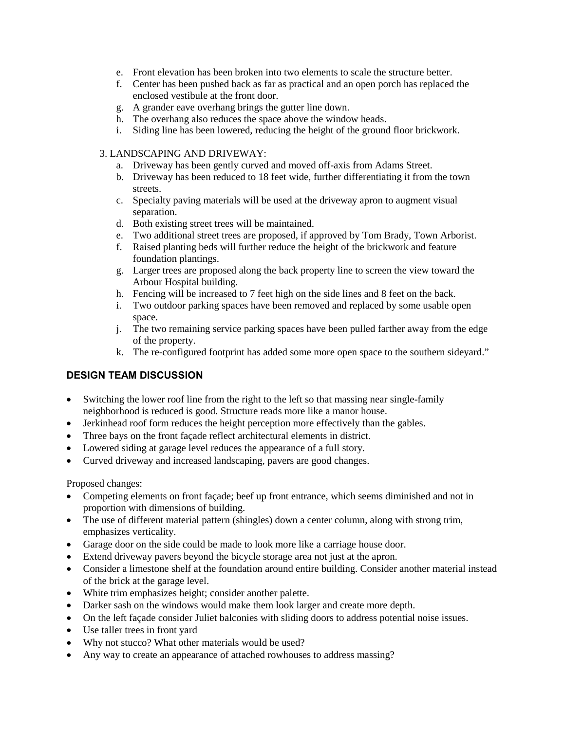- e. Front elevation has been broken into two elements to scale the structure better.
- f. Center has been pushed back as far as practical and an open porch has replaced the enclosed vestibule at the front door.
- g. A grander eave overhang brings the gutter line down.
- h. The overhang also reduces the space above the window heads.
- i. Siding line has been lowered, reducing the height of the ground floor brickwork.

#### 3. LANDSCAPING AND DRIVEWAY:

- a. Driveway has been gently curved and moved off-axis from Adams Street.
- b. Driveway has been reduced to 18 feet wide, further differentiating it from the town streets.
- c. Specialty paving materials will be used at the driveway apron to augment visual separation.
- d. Both existing street trees will be maintained.
- e. Two additional street trees are proposed, if approved by Tom Brady, Town Arborist.
- f. Raised planting beds will further reduce the height of the brickwork and feature foundation plantings.
- g. Larger trees are proposed along the back property line to screen the view toward the Arbour Hospital building.
- h. Fencing will be increased to 7 feet high on the side lines and 8 feet on the back.
- i. Two outdoor parking spaces have been removed and replaced by some usable open space.
- j. The two remaining service parking spaces have been pulled farther away from the edge of the property.
- k. The re-configured footprint has added some more open space to the southern sideyard."

# **DESIGN TEAM DISCUSSION**

- Switching the lower roof line from the right to the left so that massing near single-family neighborhood is reduced is good. Structure reads more like a manor house.
- Jerkinhead roof form reduces the height perception more effectively than the gables.
- Three bays on the front façade reflect architectural elements in district.
- Lowered siding at garage level reduces the appearance of a full story.
- Curved driveway and increased landscaping, pavers are good changes.

Proposed changes:

- Competing elements on front façade; beef up front entrance, which seems diminished and not in proportion with dimensions of building.
- The use of different material pattern (shingles) down a center column, along with strong trim, emphasizes verticality.
- Garage door on the side could be made to look more like a carriage house door.
- Extend driveway pavers beyond the bicycle storage area not just at the apron.
- Consider a limestone shelf at the foundation around entire building. Consider another material instead of the brick at the garage level.
- White trim emphasizes height; consider another palette.
- Darker sash on the windows would make them look larger and create more depth.
- On the left façade consider Juliet balconies with sliding doors to address potential noise issues.
- Use taller trees in front yard
- Why not stucco? What other materials would be used?
- Any way to create an appearance of attached rowhouses to address massing?